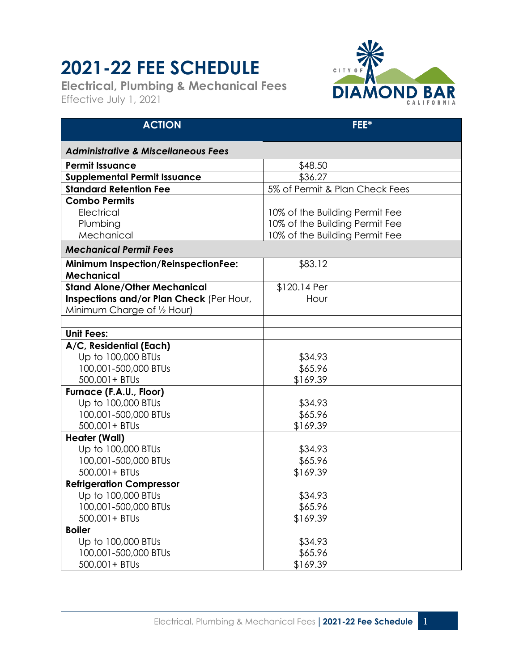## **2021-22 FEE SCHEDULE**

**Electrical, Plumbing & Mechanical Fees** Effective July 1, 2021



| <b>ACTION</b>                                  | FEE*                           |
|------------------------------------------------|--------------------------------|
| <b>Administrative &amp; Miscellaneous Fees</b> |                                |
| <b>Permit Issuance</b>                         | \$48.50                        |
| <b>Supplemental Permit Issuance</b>            | \$36.27                        |
| <b>Standard Retention Fee</b>                  | 5% of Permit & Plan Check Fees |
| <b>Combo Permits</b>                           |                                |
| Electrical                                     | 10% of the Building Permit Fee |
| Plumbing                                       | 10% of the Building Permit Fee |
| Mechanical                                     | 10% of the Building Permit Fee |
| <b>Mechanical Permit Fees</b>                  |                                |
| <b>Minimum Inspection/ReinspectionFee:</b>     | \$83.12                        |
| <b>Mechanical</b>                              |                                |
| <b>Stand Alone/Other Mechanical</b>            | \$120.14 Per                   |
| Inspections and/or Plan Check (Per Hour,       | Hour                           |
| Minimum Charge of 1/2 Hour)                    |                                |
|                                                |                                |
| <b>Unit Fees:</b>                              |                                |
| A/C, Residential (Each)                        |                                |
| Up to 100,000 BTUs                             | \$34.93                        |
| 100,001-500,000 BTUs                           | \$65.96                        |
| 500,001+ BTUs                                  | \$169.39                       |
| Furnace (F.A.U., Floor)                        |                                |
| Up to 100,000 BTUs<br>100,001-500,000 BTUs     | \$34.93<br>\$65.96             |
| 500,001+ BTUs                                  | \$169.39                       |
| <b>Heater (Wall)</b>                           |                                |
| Up to 100,000 BTUs                             | \$34.93                        |
| 100,001-500,000 BTUs                           | \$65.96                        |
| 500,001+ BTUs                                  | \$169.39                       |
| <b>Refrigeration Compressor</b>                |                                |
| Up to 100,000 BTUs                             | \$34.93                        |
| 100,001-500,000 BTUs                           | \$65.96                        |
| 500,001+ BTUs                                  | \$169.39                       |
| <b>Boiler</b>                                  |                                |
| Up to 100,000 BTUs                             | \$34.93                        |
| 100,001-500,000 BTUs                           | \$65.96                        |
| 500,001+ BTUs                                  | \$169.39                       |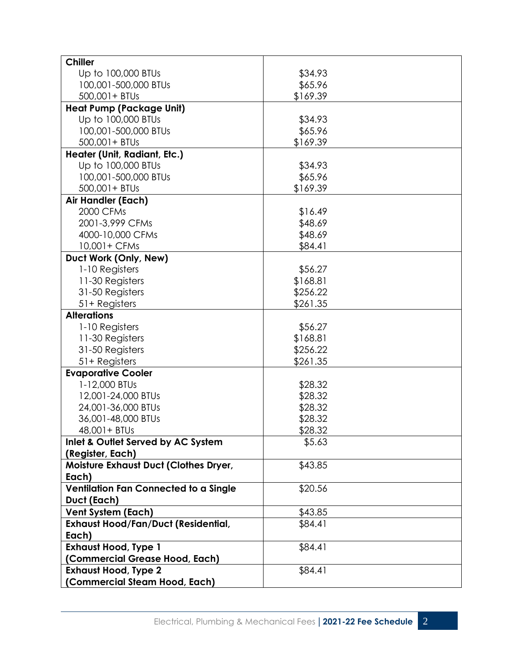| <b>Chiller</b>                             |          |
|--------------------------------------------|----------|
| Up to 100,000 BTUs                         | \$34.93  |
| 100,001-500,000 BTUs                       | \$65.96  |
| 500,001+ BTUs                              | \$169.39 |
| <b>Heat Pump (Package Unit)</b>            |          |
| Up to 100,000 BTUs                         | \$34.93  |
| 100,001-500,000 BTUs                       | \$65.96  |
| 500,001+ BTUs                              | \$169.39 |
| Heater (Unit, Radiant, Etc.)               |          |
| Up to 100,000 BTUs                         | \$34.93  |
| 100,001-500,000 BTUs                       | \$65.96  |
| 500,001+ BTUs                              | \$169.39 |
| Air Handler (Each)                         |          |
| 2000 CFMs                                  | \$16.49  |
| 2001-3,999 CFMs                            | \$48.69  |
| 4000-10,000 CFMs                           | \$48.69  |
| 10,001+ CFMs                               | \$84.41  |
| Duct Work (Only, New)                      |          |
| 1-10 Registers                             | \$56.27  |
| 11-30 Registers                            | \$168.81 |
| 31-50 Registers                            | \$256.22 |
| 51+ Registers                              | \$261.35 |
| <b>Alterations</b>                         |          |
| 1-10 Registers                             | \$56.27  |
| 11-30 Registers                            | \$168.81 |
| 31-50 Registers                            | \$256.22 |
| 51+ Registers                              | \$261.35 |
| <b>Evaporative Cooler</b>                  |          |
| 1-12,000 BTUs                              | \$28.32  |
| 12,001-24,000 BTUs                         | \$28.32  |
| 24,001-36,000 BTUs                         | \$28.32  |
| 36,001-48,000 BTUs                         | \$28.32  |
| 48,001 + BTUs                              | \$28.32  |
| Inlet & Outlet Served by AC System         | \$5.63   |
| (Register, Each)                           |          |
| Moisture Exhaust Duct (Clothes Dryer,      | \$43.85  |
| Each)                                      |          |
| Ventilation Fan Connected to a Single      | \$20.56  |
| Duct (Each)                                |          |
| <b>Vent System (Each)</b>                  | \$43.85  |
| <b>Exhaust Hood/Fan/Duct (Residential,</b> | \$84.41  |
| Each)                                      |          |
| <b>Exhaust Hood, Type 1</b>                | \$84.41  |
| Commercial Grease Hood, Each)              |          |
| <b>Exhaust Hood, Type 2</b>                | \$84.41  |
| (Commercial Steam Hood, Each)              |          |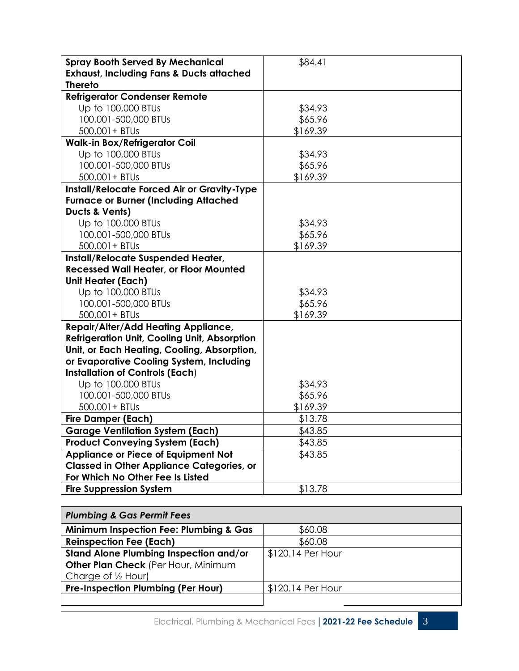| <b>Spray Booth Served By Mechanical</b><br><b>Exhaust, Including Fans &amp; Ducts attached</b> | \$84.41  |  |
|------------------------------------------------------------------------------------------------|----------|--|
| <b>Thereto</b>                                                                                 |          |  |
| <b>Refrigerator Condenser Remote</b>                                                           |          |  |
| Up to 100,000 BTUs                                                                             | \$34.93  |  |
| 100,001-500,000 BTUs                                                                           | \$65.96  |  |
| 500,001+ BTUs                                                                                  | \$169.39 |  |
| <b>Walk-in Box/Refrigerator Coil</b>                                                           |          |  |
| Up to 100,000 BTUs                                                                             | \$34.93  |  |
| 100,001-500,000 BTUs                                                                           | \$65.96  |  |
| 500,001+ BTUs                                                                                  | \$169.39 |  |
| Install/Relocate Forced Air or Gravity-Type                                                    |          |  |
| <b>Furnace or Burner (Including Attached</b>                                                   |          |  |
| Ducts & Vents)                                                                                 |          |  |
| Up to 100,000 BTUs                                                                             | \$34.93  |  |
| 100,001-500,000 BTUs                                                                           | \$65.96  |  |
| 500,001+ BTUs                                                                                  | \$169.39 |  |
| Install/Relocate Suspended Heater,                                                             |          |  |
| <b>Recessed Wall Heater, or Floor Mounted</b>                                                  |          |  |
| <b>Unit Heater (Each)</b>                                                                      |          |  |
| Up to 100,000 BTUs                                                                             | \$34.93  |  |
| 100,001-500,000 BTUs                                                                           | \$65.96  |  |
| 500,001+ BTUs                                                                                  | \$169.39 |  |
| <b>Repair/Alter/Add Heating Appliance,</b>                                                     |          |  |
| <b>Refrigeration Unit, Cooling Unit, Absorption</b>                                            |          |  |
| Unit, or Each Heating, Cooling, Absorption,                                                    |          |  |
| or Evaporative Cooling System, Including                                                       |          |  |
| <b>Installation of Controls (Each)</b>                                                         |          |  |
| Up to 100,000 BTUs                                                                             | \$34.93  |  |
| 100,001-500,000 BTUs                                                                           | \$65.96  |  |
| 500,001+ BTUs                                                                                  | \$169.39 |  |
| <b>Fire Damper (Each)</b>                                                                      | \$13.78  |  |
| <b>Garage Ventilation System (Each)</b>                                                        | \$43.85  |  |
| <b>Product Conveying System (Each)</b>                                                         | \$43.85  |  |
| <b>Appliance or Piece of Equipment Not</b>                                                     | \$43.85  |  |
| <b>Classed in Other Appliance Categories, or</b>                                               |          |  |
| For Which No Other Fee Is Listed                                                               |          |  |
| <b>Fire Suppression System</b>                                                                 | \$13.78  |  |

| <b>Plumbing &amp; Gas Permit Fees</b>             |                   |
|---------------------------------------------------|-------------------|
| <b>Minimum Inspection Fee: Plumbing &amp; Gas</b> | \$60.08           |
| <b>Reinspection Fee (Each)</b>                    | \$60.08           |
| <b>Stand Alone Plumbing Inspection and/or</b>     | \$120.14 Per Hour |
| Other Plan Check (Per Hour, Minimum               |                   |
| Charge of $\frac{1}{2}$ Hour)                     |                   |
| <b>Pre-Inspection Plumbing (Per Hour)</b>         | \$120.14 Per Hour |
|                                                   |                   |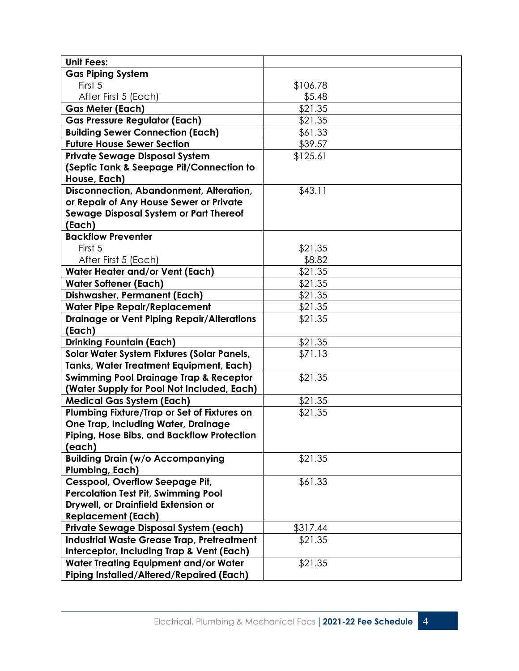| <b>Unit Fees:</b>                                                                        |          |  |
|------------------------------------------------------------------------------------------|----------|--|
| <b>Gas Piping System</b>                                                                 |          |  |
| First 5                                                                                  | \$106.78 |  |
| After First 5 (Each)                                                                     | \$5.48   |  |
| <b>Gas Meter (Each)</b>                                                                  | \$21.35  |  |
| <b>Gas Pressure Regulator (Each)</b>                                                     | \$21.35  |  |
| <b>Building Sewer Connection (Each)</b>                                                  | \$61.33  |  |
| <b>Future House Sewer Section</b>                                                        | \$39.57  |  |
| <b>Private Sewage Disposal System</b>                                                    | \$125.61 |  |
| (Septic Tank & Seepage Pit/Connection to                                                 |          |  |
| House, Each)                                                                             |          |  |
| Disconnection, Abandonment, Alteration,                                                  | \$43.11  |  |
| or Repair of Any House Sewer or Private                                                  |          |  |
| Sewage Disposal System or Part Thereof                                                   |          |  |
| (Each)                                                                                   |          |  |
| <b>Backflow Preventer</b>                                                                |          |  |
| First 5                                                                                  | \$21.35  |  |
| After First 5 (Each)                                                                     | \$8.82   |  |
| <b>Water Heater and/or Vent (Each)</b>                                                   | \$21.35  |  |
| <b>Water Softener (Each)</b>                                                             | \$21.35  |  |
| <b>Dishwasher, Permanent (Each)</b>                                                      | \$21.35  |  |
| <b>Water Pipe Repair/Replacement</b>                                                     | \$21.35  |  |
| <b>Drainage or Vent Piping Repair/Alterations</b>                                        | \$21.35  |  |
| (Each)                                                                                   |          |  |
| <b>Drinking Fountain (Each)</b>                                                          | \$21.35  |  |
| Solar Water System Fixtures (Solar Panels,                                               | \$71.13  |  |
| <b>Tanks, Water Treatment Equipment, Each)</b>                                           |          |  |
| <b>Swimming Pool Drainage Trap &amp; Receptor</b>                                        | \$21.35  |  |
| (Water Supply for Pool Not Included, Each)                                               |          |  |
| <b>Medical Gas System (Each)</b>                                                         | \$21.35  |  |
| Plumbing Fixture/Trap or Set of Fixtures on                                              | \$21.35  |  |
| <b>One Trap, Including Water, Drainage</b><br>Piping, Hose Bibs, and Backflow Protection |          |  |
| (each)                                                                                   |          |  |
| <b>Building Drain (w/o Accompanying</b>                                                  | \$21.35  |  |
| Plumbing, Each)                                                                          |          |  |
| Cesspool, Overflow Seepage Pit,                                                          | \$61.33  |  |
| <b>Percolation Test Pit, Swimming Pool</b>                                               |          |  |
| Drywell, or Drainfield Extension or                                                      |          |  |
| <b>Replacement (Each)</b>                                                                |          |  |
| Private Sewage Disposal System (each)                                                    | \$317.44 |  |
| <b>Industrial Waste Grease Trap, Pretreatment</b>                                        | \$21.35  |  |
| Interceptor, Including Trap & Vent (Each)                                                |          |  |
| Water Treating Equipment and/or Water                                                    | \$21.35  |  |
| <b>Piping Installed/Altered/Repaired (Each)</b>                                          |          |  |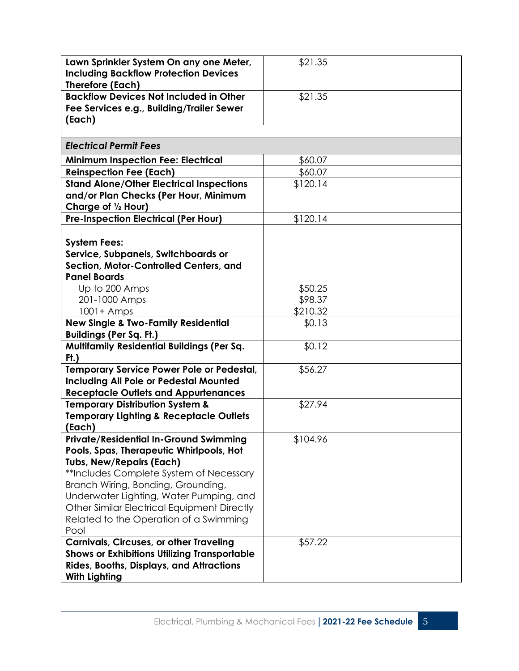| Lawn Sprinkler System On any one Meter,<br><b>Including Backflow Protection Devices</b><br><b>Therefore (Each)</b> | \$21.35            |  |
|--------------------------------------------------------------------------------------------------------------------|--------------------|--|
| <b>Backflow Devices Not Included in Other</b>                                                                      | \$21.35            |  |
| Fee Services e.g., Building/Trailer Sewer<br>(Each)                                                                |                    |  |
|                                                                                                                    |                    |  |
| <b>Electrical Permit Fees</b>                                                                                      |                    |  |
| <b>Minimum Inspection Fee: Electrical</b>                                                                          | \$60.07            |  |
| <b>Reinspection Fee (Each)</b>                                                                                     | \$60.07            |  |
| <b>Stand Alone/Other Electrical Inspections</b>                                                                    | \$120.14           |  |
| and/or Plan Checks (Per Hour, Minimum<br>Charge of 1/2 Hour)                                                       |                    |  |
| <b>Pre-Inspection Electrical (Per Hour)</b>                                                                        | \$120.14           |  |
|                                                                                                                    |                    |  |
| <b>System Fees:</b>                                                                                                |                    |  |
| Service, Subpanels, Switchboards or                                                                                |                    |  |
| Section, Motor-Controlled Centers, and                                                                             |                    |  |
| <b>Panel Boards</b>                                                                                                |                    |  |
| Up to 200 Amps<br>201-1000 Amps                                                                                    | \$50.25<br>\$98.37 |  |
| $1001 +$ Amps                                                                                                      | \$210.32           |  |
| <b>New Single &amp; Two-Family Residential</b>                                                                     | \$0.13             |  |
| <b>Buildings (Per Sq. Ft.)</b>                                                                                     |                    |  |
| <b>Multifamily Residential Buildings (Per Sq.</b><br>$Ft$ )                                                        | \$0.12             |  |
| <b>Temporary Service Power Pole or Pedestal,</b>                                                                   | \$56.27            |  |
| <b>Including All Pole or Pedestal Mounted</b>                                                                      |                    |  |
| <b>Receptacle Outlets and Appurtenances</b>                                                                        |                    |  |
| <b>Temporary Distribution System &amp;</b>                                                                         | \$27.94            |  |
| <b>Temporary Lighting &amp; Receptacle Outlets</b><br>(Each)                                                       |                    |  |
| <b>Private/Residential In-Ground Swimming</b>                                                                      | \$104.96           |  |
| Pools, Spas, Therapeutic Whirlpools, Hot                                                                           |                    |  |
| <b>Tubs, New/Repairs (Each)</b><br>**Includes Complete System of Necessary                                         |                    |  |
| Branch Wiring, Bonding, Grounding,                                                                                 |                    |  |
| Underwater Lighting, Water Pumping, and                                                                            |                    |  |
| Other Similar Electrical Equipment Directly                                                                        |                    |  |
| Related to the Operation of a Swimming                                                                             |                    |  |
| Pool                                                                                                               |                    |  |
|                                                                                                                    |                    |  |
| <b>Carnivals, Circuses, or other Traveling</b>                                                                     | \$57.22            |  |
| <b>Shows or Exhibitions Utilizing Transportable</b>                                                                |                    |  |
| <b>Rides, Booths, Displays, and Attractions</b><br><b>With Lighting</b>                                            |                    |  |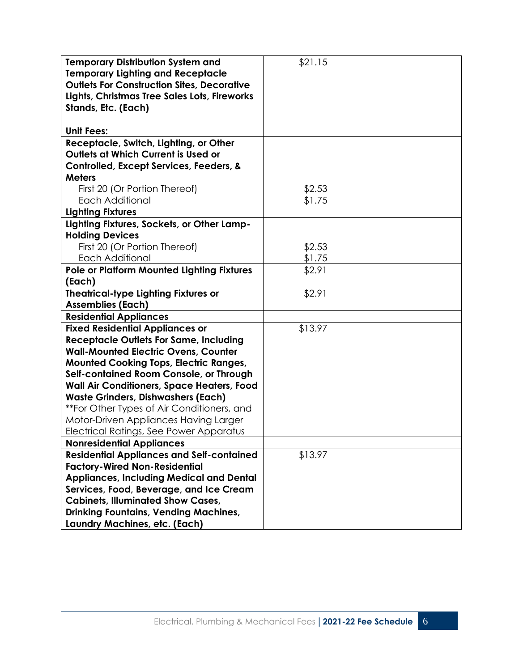| <b>Temporary Distribution System and</b><br><b>Temporary Lighting and Receptacle</b><br><b>Outlets For Construction Sites, Decorative</b><br>Lights, Christmas Tree Sales Lots, Fireworks<br>Stands, Etc. (Each) | \$21.15 |
|------------------------------------------------------------------------------------------------------------------------------------------------------------------------------------------------------------------|---------|
| <b>Unit Fees:</b>                                                                                                                                                                                                |         |
| Receptacle, Switch, Lighting, or Other<br>Outlets at Which Current is Used or<br>Controlled, Except Services, Feeders, &                                                                                         |         |
| <b>Meters</b>                                                                                                                                                                                                    |         |
| First 20 (Or Portion Thereof)                                                                                                                                                                                    | \$2.53  |
| <b>Each Additional</b>                                                                                                                                                                                           | \$1.75  |
| <b>Lighting Fixtures</b>                                                                                                                                                                                         |         |
| Lighting Fixtures, Sockets, or Other Lamp-                                                                                                                                                                       |         |
| <b>Holding Devices</b>                                                                                                                                                                                           |         |
| First 20 (Or Portion Thereof)                                                                                                                                                                                    | \$2.53  |
| <b>Each Additional</b>                                                                                                                                                                                           | \$1.75  |
| <b>Pole or Platform Mounted Lighting Fixtures</b><br>(Each)                                                                                                                                                      | \$2.91  |
| <b>Theatrical-type Lighting Fixtures or</b>                                                                                                                                                                      | \$2.91  |
| <b>Assemblies (Each)</b>                                                                                                                                                                                         |         |
| <b>Residential Appliances</b>                                                                                                                                                                                    |         |
| <b>Fixed Residential Appliances or</b>                                                                                                                                                                           | \$13.97 |
| <b>Receptacle Outlets For Same, Including</b>                                                                                                                                                                    |         |
| <b>Wall-Mounted Electric Ovens, Counter</b>                                                                                                                                                                      |         |
| <b>Mounted Cooking Tops, Electric Ranges,</b>                                                                                                                                                                    |         |
| Self-contained Room Console, or Through                                                                                                                                                                          |         |
| Wall Air Conditioners, Space Heaters, Food                                                                                                                                                                       |         |
| <b>Waste Grinders, Dishwashers (Each)</b>                                                                                                                                                                        |         |
| **For Other Types of Air Conditioners, and                                                                                                                                                                       |         |
| Motor-Driven Appliances Having Larger                                                                                                                                                                            |         |
| Electrical Ratings, See Power Apparatus                                                                                                                                                                          |         |
| <b>Nonresidential Appliances</b>                                                                                                                                                                                 |         |
| <b>Residential Appliances and Self-contained</b>                                                                                                                                                                 | \$13.97 |
| <b>Factory-Wired Non-Residential</b>                                                                                                                                                                             |         |
| <b>Appliances, Including Medical and Dental</b>                                                                                                                                                                  |         |
| Services, Food, Beverage, and Ice Cream<br><b>Cabinets, Illuminated Show Cases,</b>                                                                                                                              |         |
| <b>Drinking Fountains, Vending Machines,</b>                                                                                                                                                                     |         |
| Laundry Machines, etc. (Each)                                                                                                                                                                                    |         |
|                                                                                                                                                                                                                  |         |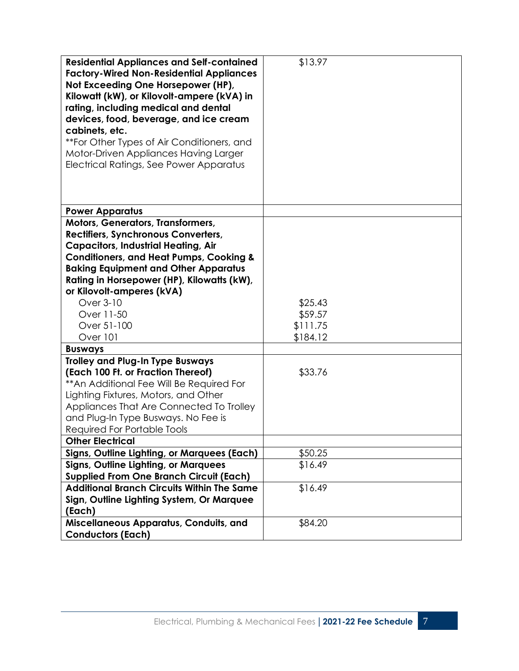| <b>Residential Appliances and Self-contained</b><br><b>Factory-Wired Non-Residential Appliances</b><br>Not Exceeding One Horsepower (HP),<br>Kilowatt (kW), or Kilovolt-ampere (kVA) in<br>rating, including medical and dental<br>devices, food, beverage, and ice cream<br>cabinets, etc.<br>**For Other Types of Air Conditioners, and<br>Motor-Driven Appliances Having Larger<br>Electrical Ratings, See Power Apparatus | \$13.97            |
|-------------------------------------------------------------------------------------------------------------------------------------------------------------------------------------------------------------------------------------------------------------------------------------------------------------------------------------------------------------------------------------------------------------------------------|--------------------|
| <b>Power Apparatus</b>                                                                                                                                                                                                                                                                                                                                                                                                        |                    |
| Motors, Generators, Transformers,<br>Rectifiers, Synchronous Converters,<br><b>Capacitors, Industrial Heating, Air</b><br><b>Conditioners, and Heat Pumps, Cooking &amp;</b><br><b>Baking Equipment and Other Apparatus</b><br>Rating in Horsepower (HP), Kilowatts (kW),<br>or Kilovolt-amperes (kVA)<br>Over 3-10<br>Over 11-50                                                                                             | \$25.43<br>\$59.57 |
| Over 51-100                                                                                                                                                                                                                                                                                                                                                                                                                   | \$111.75           |
| Over 101                                                                                                                                                                                                                                                                                                                                                                                                                      | \$184.12           |
| <b>Busways</b><br><b>Trolley and Plug-In Type Busways</b>                                                                                                                                                                                                                                                                                                                                                                     |                    |
| (Each 100 Ft. or Fraction Thereof)<br>** An Additional Fee Will Be Required For<br>Lighting Fixtures, Motors, and Other<br>Appliances That Are Connected To Trolley<br>and Plug-In Type Busways. No Fee is<br><b>Required For Portable Tools</b><br><b>Other Electrical</b>                                                                                                                                                   | \$33.76            |
| Signs, Outline Lighting, or Marquees (Each)                                                                                                                                                                                                                                                                                                                                                                                   | \$50.25            |
| <b>Signs, Outline Lighting, or Marquees</b>                                                                                                                                                                                                                                                                                                                                                                                   | \$16.49            |
| <b>Supplied From One Branch Circuit (Each)</b>                                                                                                                                                                                                                                                                                                                                                                                |                    |
| <b>Additional Branch Circuits Within The Same</b>                                                                                                                                                                                                                                                                                                                                                                             | \$16.49            |
| Sign, Outline Lighting System, Or Marquee<br>(Each)                                                                                                                                                                                                                                                                                                                                                                           |                    |
| Miscellaneous Apparatus, Conduits, and<br><b>Conductors (Each)</b>                                                                                                                                                                                                                                                                                                                                                            | \$84.20            |